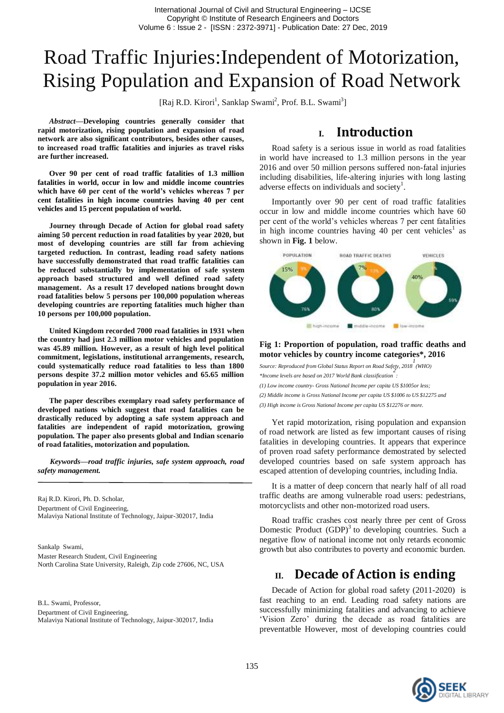# Road Traffic Injuries:Independent of Motorization, Rising Population and Expansion of Road Network

[Raj R.D. Kirori<sup>1</sup>, Sanklap Swami<sup>2</sup>, Prof. B.L. Swami<sup>3</sup>]

*Abstract***—Developing countries generally consider that rapid motorization, rising population and expansion of road network are also significant contributors, besides other causes, to increased road traffic fatalities and injuries as travel risks are further increased.**

**Over 90 per cent of road traffic fatalities of 1.3 million fatalities in world, occur in low and middle income countries which have 60 per cent of the world's vehicles whereas 7 per cent fatalities in high income countries having 40 per cent vehicles and 15 percent population of world.**

**Journey through Decade of Action for global road safety aiming 50 percent reduction in road fatalities by year 2020, but most of developing countries are still far from achieving targeted reduction. In contrast, leading road safety nations have successfully demonstrated that road traffic fatalities can be reduced substantially by implementation of safe system approach based structured and well defined road safety management. As a result 17 developed nations brought down road fatalities below 5 persons per 100,000 population whereas developing countries are reporting fatalities much higher than 10 persons per 100,000 population.**

**United Kingdom recorded 7000 road fatalities in 1931 when the country had just 2.3 million motor vehicles and population was 45.89 million. However, as a result of high level political commitment, legislations, institutional arrangements, research, could systematically reduce road fatalities to less than 1800 persons despite 37.2 million motor vehicles and 65.65 million population in year 2016.**

**The paper describes exemplary road safety performance of developed nations which suggest that road fatalities can be drastically reduced by adopting a safe system approach and fatalities are independent of rapid motorization, growing population. The paper also presents global and Indian scenario of road fatalities, motorization and population.**

*Keywords—road traffic injuries, safe system approach, road safety management.*

Raj R.D. Kirori, Ph. D. Scholar, Department of Civil Engineering, Malaviya National Institute of Technology, Jaipur-302017, India

Sankalp Swami, Master Research Student, Civil Engineering North Carolina State University, Raleigh, Zip code 27606, NC, USA

B.L. Swami, Professor, Department of Civil Engineering, Malaviya National Institute of Technology, Jaipur-302017, India

### **I. Introduction**

Road safety is a serious issue in world as road fatalities in world have increased to 1.3 million persons in the year 2016 and over 50 million persons suffered non-fatal injuries including disabilities, life-altering injuries with long lasting adverse effects on individuals and society<sup>1</sup>.

Importantly over 90 per cent of road traffic fatalities occur in low and middle income countries which have 60 per cent of the world's vehicles whereas 7 per cent fatalities in high income countries having 40 per cent vehicles<sup>1</sup> as shown in **Fig. 1** below.



#### **Fig 1: Proportion of population, road traffic deaths and motor vehicles by country income categories\*, 2016**

*Source: Reproduced from Global Status Report on Road Safety, 2018 1 (WHO) \*Income levels are based on 2017 World Bank classification 2 : (1) Low income country- Gross National Income per capita US \$1005or less; (2) Middle income is Gross National Income per capita US \$1006 to US \$12275 and (3) High income is Gross National Income per capita US \$12276 or more.*

Yet rapid motorization, rising population and expansion of road network are listed as few important causes of rising fatalities in developing countries. It appears that experince of proven road safety performance demostrated by selected developed countries based on safe system approach has escaped attention of developing countries, including India.

It is a matter of deep concern that nearly half of all road traffic deaths are among vulnerable road users: pedestrians, motorcyclists and other non-motorized road users.

Road traffic crashes cost nearly three per cent of Gross Domestic Product  $(GDP)^3$  to developing countries. Such a negative flow of national income not only retards economic growth but also contributes to poverty and economic burden.

## **II. Decade of Action is ending**

Decade of Action for global road safety (2011-2020) is fast reaching to an end. Leading road safety nations are successfully minimizing fatalities and advancing to achieve 'Vision Zero' during the decade as road fatalities are preventatble However, most of developing countries could

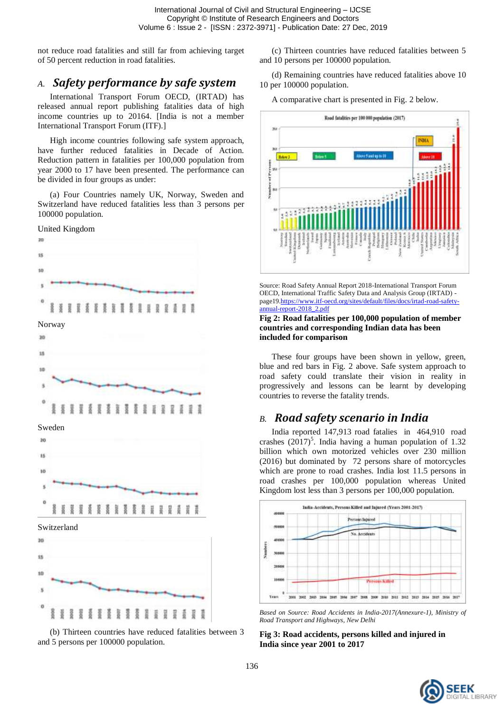not reduce road fatalities and still far from achieving target of 50 percent reduction in road fatalities.

# *A. Safety performance by safe system*

International Transport Forum OECD, (IRTAD) has released annual report publishing fatalities data of high income countries up to 20164. [India is not a member International Transport Forum (ITF).]

High income countries following safe system approach, have further reduced fatalities in Decade of Action. Reduction pattern in fatalities per 100,000 population from year 2000 to 17 have been presented. The performance can be divided in four groups as under:

(a) Four Countries namely UK, Norway, Sweden and Switzerland have reduced fatalities less than 3 persons per 100000 population.



(b) Thirteen countries have reduced fatalities between 3 and 5 persons per 100000 population.

(c) Thirteen countries have reduced fatalities between 5 and 10 persons per 100000 population.

(d) Remaining countries have reduced fatalities above 10 10 per 100000 population.

A comparative chart is presented in Fig. 2 below.



Source: Road Safety Annual Report 2018-International Transport Forum OECD, International Traffic Safety Data and Analysis Group (IRTAD) page19[.https://www.itf-oecd.org/sites/default/files/docs/irtad-road-safety](https://www.itf-oecd.org/sites/default/files/docs/irtad-road-safety-annual-report-2018_2.pdf)[annual-report-2018\\_2.pdf](https://www.itf-oecd.org/sites/default/files/docs/irtad-road-safety-annual-report-2018_2.pdf)

#### **Fig 2: Road fatalities per 100,000 population of member countries and corresponding Indian data has been included for comparison**

These four groups have been shown in yellow, green, blue and red bars in Fig. 2 above. Safe system approach to road safety could translate their vision in reality in progressively and lessons can be learnt by developing countries to reverse the fatality trends.

### *B. Road safety scenario in India*

India reported 147,913 road fatalies in 464,910 road crashes  $(2017)^5$ . India having a human population of 1.32 billion which own motorized vehicles over 230 million (2016) but dominated by 72 persons share of motorcycles which are prone to road crashes. India lost 11.5 persons in road crashes per 100,000 population whereas United Kingdom lost less than 3 persons per 100,000 population.



*Based on Source: Road Accidents in India-2017(Annexure-1), Ministry of Road Transport and Highways, New Delhi*

**Fig 3: Road accidents, persons killed and injured in India since year 2001 to 2017**

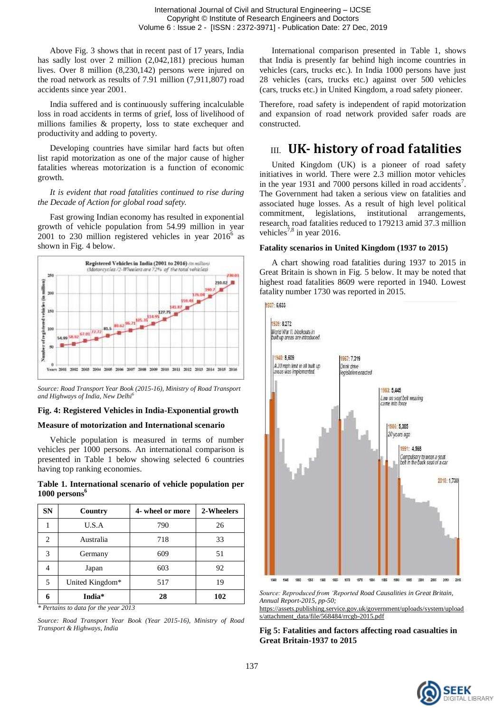Above Fig. 3 shows that in recent past of 17 years, India has sadly lost over 2 million (2,042,181) precious human lives. Over 8 million (8,230,142) persons were injured on the road network as results of 7.91 million (7,911,807) road accidents since year 2001.

India suffered and is continuously suffering incalculable loss in road accidents in terms of grief, loss of livelihood of millions families & property, loss to state exchequer and productivity and adding to poverty.

Developing countries have similar hard facts but often list rapid motorization as one of the major cause of higher fatalities whereas motorization is a function of economic growth.

*It is evident that road fatalities continued to rise during the Decade of Action for global road safety.*

Fast growing Indian economy has resulted in exponential growth of vehicle population from 54.99 million in year 2001 to 230 million registered vehicles in year  $2016^6$  as shown in Fig. 4 below.



*Source: Road Transport Year Book (2015-16), Ministry of Road Transport and Highways of India, New Delhi<sup>6</sup>*

### **Fig. 4: Registered Vehicles in India-Exponential growth**

#### **Measure of motorization and International scenario**

Vehicle population is measured in terms of number vehicles per 1000 persons. An international comparison is presented in Table 1 below showing selected 6 countries having top ranking economies.

**Table 1. International scenario of vehicle population per 1000 persons<sup>6</sup>**

| <b>SN</b> | Country         | 4- wheel or more | 2-Wheelers |
|-----------|-----------------|------------------|------------|
|           | U.S.A           | 790              | 26         |
| 2         | Australia       | 718              | 33         |
| 3         | Germany         | 609              | 51         |
|           | Japan           | 603              | 92         |
| 5         | United Kingdom* | 517              | 19         |
| 6         | India*          | 28               | 102        |

*\* Pertains to data for the year 2013*

*Source: Road Transport Year Book (Year 2015-16), Ministry of Road Transport & Highways, India*

International comparison presented in Table 1, shows that India is presently far behind high income countries in vehicles (cars, trucks etc.). In India 1000 persons have just 28 vehicles (cars, trucks etc.) against over 500 vehicles (cars, trucks etc.) in United Kingdom, a road safety pioneer.

Therefore, road safety is independent of rapid motorization and expansion of road network provided safer roads are constructed.

### III. **UK- history of road fatalities**

United Kingdom (UK) is a pioneer of road safety initiatives in world. There were 2.3 million motor vehicles in the year 1931 and 7000 persons killed in road accidents<sup>7</sup>. The Government had taken a serious view on fatalities and associated huge losses. As a result of high level political commitment, legislations, institutional arrangements, research, road fatalities reduced to 179213 amid 37.3 million vehicles<sup>7,8</sup> in year 2016.

#### **Fatality scenarios in United Kingdom (1937 to 2015)**

A chart showing road fatalities during 1937 to 2015 in Great Britain is shown in Fig. 5 below. It may be noted that highest road fatalities 8609 were reported in 1940. Lowest fatality number 1730 was reported in 2015.





*Source: Reproduced from 'Reported Road Causalities in Great Britain, Annual Report-2015, pp-50;* 

[https://assets.publishing.service.gov.uk/government/uploads/system/upload](https://assets.publishing.service.gov.uk/government/uploads/system/uploads/attachment_data/file/568484/rrcgb-2015.pdf) [s/attachment\\_data/file/568484/rrcgb-2015.pdf](https://assets.publishing.service.gov.uk/government/uploads/system/uploads/attachment_data/file/568484/rrcgb-2015.pdf)

**Fig 5: Fatalities and factors affecting road casualties in Great Britain-1937 to 2015**